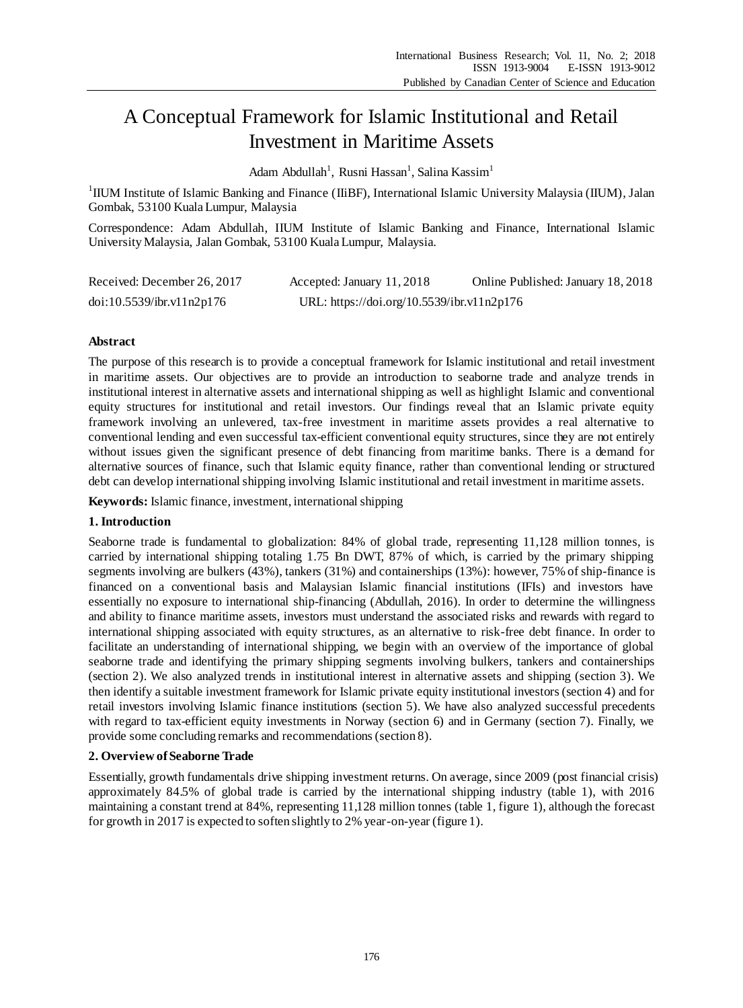# A Conceptual Framework for Islamic Institutional and Retail Investment in Maritime Assets

Adam Abdullah<sup>1</sup>, Rusni Hassan<sup>1</sup>, Salina Kassim<sup>1</sup>

<sup>1</sup>IIUM Institute of Islamic Banking and Finance (IIiBF), International Islamic University Malaysia (IIUM), Jalan Gombak, 53100 Kuala Lumpur, Malaysia

Correspondence: Adam Abdullah, IIUM Institute of Islamic Banking and Finance, International Islamic University Malaysia, Jalan Gombak, 53100 Kuala Lumpur, Malaysia.

| Received: December 26, 2017 | Accepted: January 11, 2018                 | Online Published: January 18, 2018 |
|-----------------------------|--------------------------------------------|------------------------------------|
| doi:10.5539/ibr.v11n2p176   | URL: https://doi.org/10.5539/ibr.v11n2p176 |                                    |

### **Abstract**

The purpose of this research is to provide a conceptual framework for Islamic institutional and retail investment in maritime assets. Our objectives are to provide an introduction to seaborne trade and analyze trends in institutional interest in alternative assets and international shipping as well as highlight Islamic and conventional equity structures for institutional and retail investors. Our findings reveal that an Islamic private equity framework involving an unlevered, tax-free investment in maritime assets provides a real alternative to conventional lending and even successful tax-efficient conventional equity structures, since they are not entirely without issues given the significant presence of debt financing from maritime banks. There is a demand for alternative sources of finance, such that Islamic equity finance, rather than conventional lending or structured debt can develop international shipping involving Islamic institutional and retail investment in maritime assets.

**Keywords:** Islamic finance, investment, international shipping

#### **1. Introduction**

Seaborne trade is fundamental to globalization: 84% of global trade, representing 11,128 million tonnes, is carried by international shipping totaling 1.75 Bn DWT, 87% of which, is carried by the primary shipping segments involving are bulkers (43%), tankers (31%) and containerships (13%): however, 75% of ship-finance is financed on a conventional basis and Malaysian Islamic financial institutions (IFIs) and investors have essentially no exposure to international ship-financing (Abdullah, 2016). In order to determine the willingness and ability to finance maritime assets, investors must understand the associated risks and rewards with regard to international shipping associated with equity structures, as an alternative to risk-free debt finance. In order to facilitate an understanding of international shipping, we begin with an overview of the importance of global seaborne trade and identifying the primary shipping segments involving bulkers, tankers and containerships (section 2). We also analyzed trends in institutional interest in alternative assets and shipping (section 3). We then identify a suitable investment framework for Islamic private equity institutional investors (section 4) and for retail investors involving Islamic finance institutions (section 5). We have also analyzed successful precedents with regard to tax-efficient equity investments in Norway (section 6) and in Germany (section 7). Finally, we provide some concluding remarks and recommendations (section 8).

# **2. Overview of Seaborne Trade**

Essentially, growth fundamentals drive shipping investment returns. On average, since 2009 (post financial crisis) approximately 84.5% of global trade is carried by the international shipping industry (table 1), with 2016 maintaining a constant trend at 84%, representing 11,128 million tonnes (table 1, figure 1), although the forecast for growth in 2017 is expected to soften slightly to 2% year-on-year (figure 1).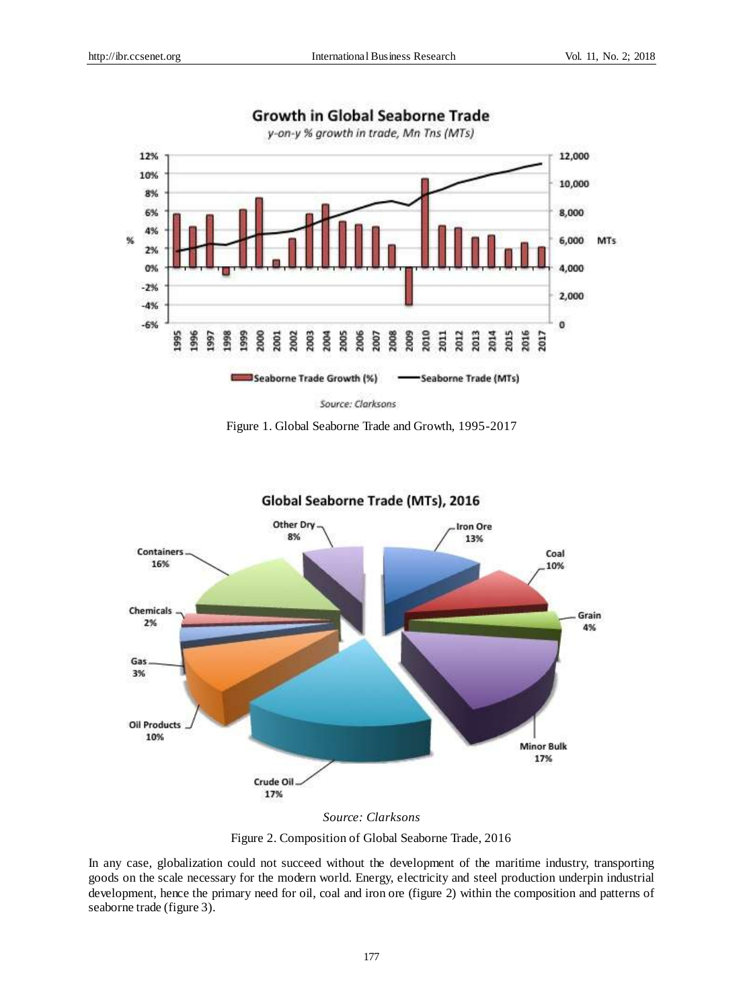

# **Growth in Global Seaborne Trade**

Figure 1. Global Seaborne Trade and Growth, 1995-2017



Global Seaborne Trade (MTs), 2016

In any case, globalization could not succeed without the development of the maritime industry, transporting goods on the scale necessary for the modern world. Energy, electricity and steel production underpin industrial development, hence the primary need for oil, coal and iron ore (figure 2) within the composition and patterns of seaborne trade (figure 3).

Figure 2. Composition of Global Seaborne Trade, 2016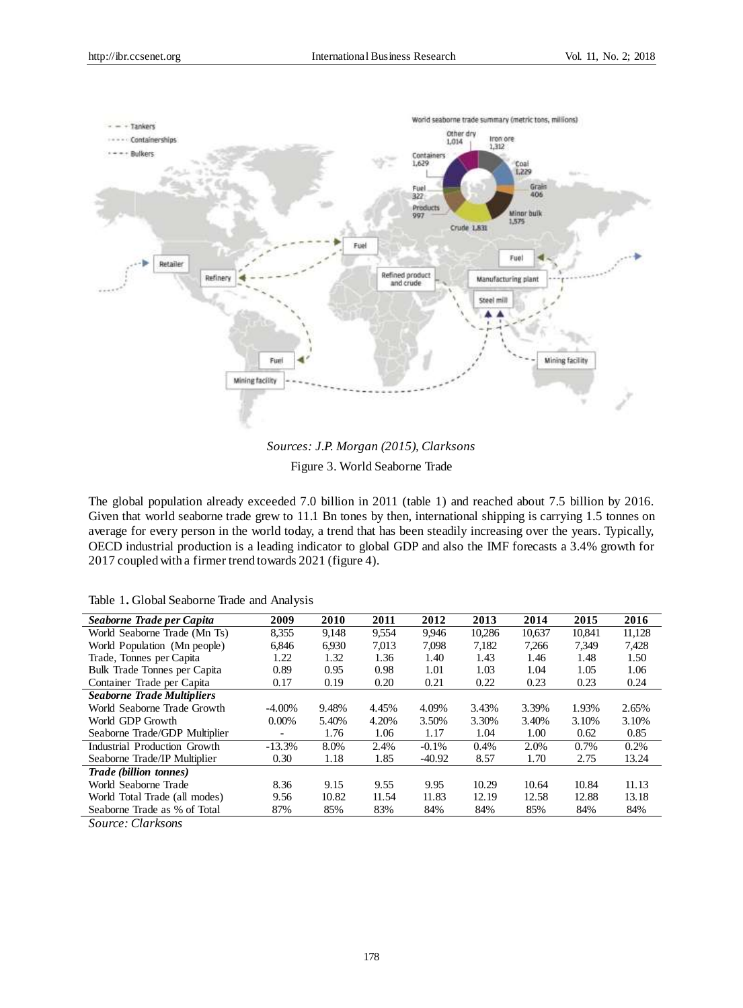

*Sources: J.P. Morgan (2015), Clarksons* Figure 3. World Seaborne Trade

The global population already exceeded 7.0 billion in 2011 (table 1) and reached about 7.5 billion by 2016. Given that world seaborne trade grew to 11.1 Bn tones by then, international shipping is carrying 1.5 tonnes on average for every person in the world today, a trend that has been steadily increasing over the years. Typically, OECD industrial production is a leading indicator to global GDP and also the IMF forecasts a 3.4% growth for 2017 coupled with a firmer trend towards 2021 (figure 4).

Table 1**.** Global Seaborne Trade and Analysis

| Seaborne Trade per Capita                    | 2009      | 2010  | 2011  | 2012     | 2013   | 2014   | 2015   | 2016   |
|----------------------------------------------|-----------|-------|-------|----------|--------|--------|--------|--------|
| World Seaborne Trade (Mn Ts)                 | 8,355     | 9,148 | 9,554 | 9,946    | 10,286 | 10,637 | 10,841 | 11,128 |
| World Population (Mn people)                 | 6.846     | 6.930 | 7.013 | 7.098    | 7.182  | 7.266  | 7.349  | 7.428  |
| Trade, Tonnes per Capita                     | 1.22      | 1.32  | 1.36  | 1.40     | 1.43   | 1.46   | 1.48   | 1.50   |
| Bulk Trade Tonnes per Capita                 | 0.89      | 0.95  | 0.98  | 1.01     | 1.03   | 1.04   | 1.05   | 1.06   |
| Container Trade per Capita                   | 0.17      | 0.19  | 0.20  | 0.21     | 0.22   | 0.23   | 0.23   | 0.24   |
| <b>Seaborne Trade Multipliers</b>            |           |       |       |          |        |        |        |        |
| World Seaborne Trade Growth                  | $-4.00\%$ | 9.48% | 4.45% | 4.09%    | 3.43%  | 3.39%  | 1.93%  | 2.65%  |
| World GDP Growth                             | $0.00\%$  | 5.40% | 4.20% | 3.50%    | 3.30%  | 3.40%  | 3.10%  | 3.10%  |
| Seaborne Trade/GDP Multiplier                |           | 1.76  | 1.06  | 1.17     | 1.04   | 1.00   | 0.62   | 0.85   |
| Industrial Production Growth                 | $-13.3%$  | 8.0%  | 2.4%  | $-0.1\%$ | 0.4%   | 2.0%   | 0.7%   | 0.2%   |
| Seaborne Trade/IP Multiplier                 | 0.30      | 1.18  | 1.85  | $-40.92$ | 8.57   | 1.70   | 2.75   | 13.24  |
| Trade (billion tonnes)                       |           |       |       |          |        |        |        |        |
| World Seaborne Trade                         | 8.36      | 9.15  | 9.55  | 9.95     | 10.29  | 10.64  | 10.84  | 11.13  |
| World Total Trade (all modes)                | 9.56      | 10.82 | 11.54 | 11.83    | 12.19  | 12.58  | 12.88  | 13.18  |
| Seaborne Trade as % of Total                 | 87%       | 85%   | 83%   | 84%      | 84%    | 85%    | 84%    | 84%    |
| $\sim$<br>$\sim$ $\sim$ $\sim$ $\sim$ $\sim$ |           |       |       |          |        |        |        |        |

*Source: Clarksons*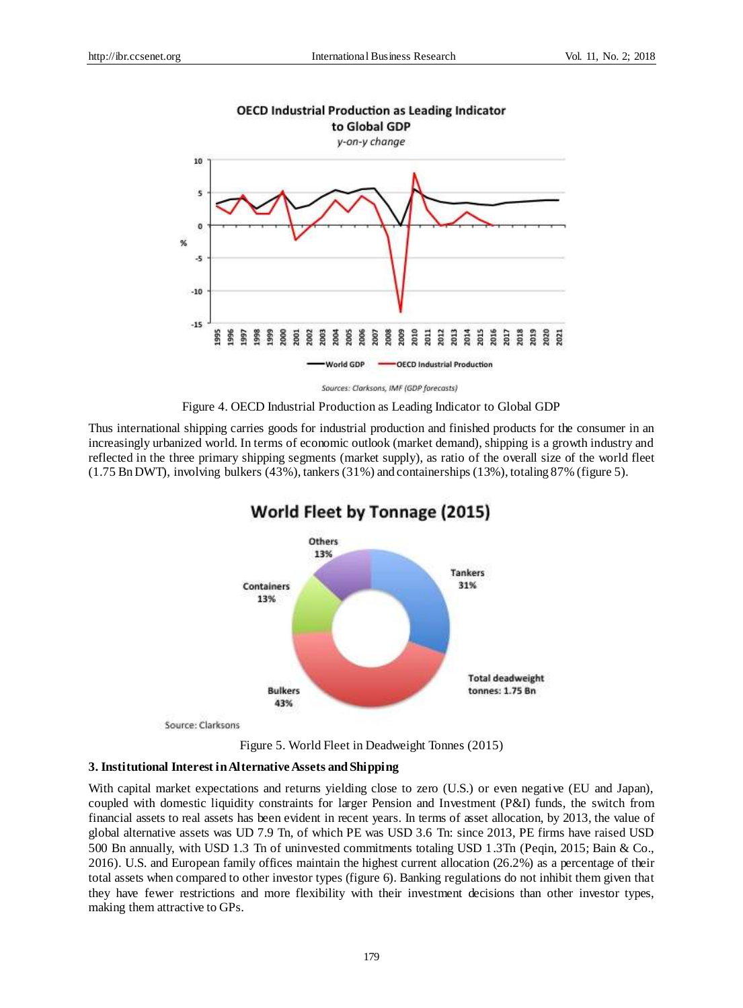

Sources: Clarksons, IMF (GDP forecasts)

Figure 4. OECD Industrial Production as Leading Indicator to Global GDP

Thus international shipping carries goods for industrial production and finished products for the consumer in an increasingly urbanized world. In terms of economic outlook (market demand), shipping is a growth industry and reflected in the three primary shipping segments (market supply), as ratio of the overall size of the world fleet (1.75 Bn DWT), involving bulkers (43%), tankers (31%) and containerships (13%), totaling 87% (figure 5).



# World Fleet by Tonnage (2015)

Figure 5. World Fleet in Deadweight Tonnes (2015)

## **3. Institutional Interest in Alternative Assets and Shipping**

With capital market expectations and returns yielding close to zero (U.S.) or even negative (EU and Japan), coupled with domestic liquidity constraints for larger Pension and Investment (P&I) funds, the switch from financial assets to real assets has been evident in recent years. In terms of asset allocation, by 2013, the value of global alternative assets was UD 7.9 Tn, of which PE was USD 3.6 Tn: since 2013, PE firms have raised USD 500 Bn annually, with USD 1.3 Tn of uninvested commitments totaling USD 1.3Tn (Peqin, 2015; Bain & Co., 2016). U.S. and European family offices maintain the highest current allocation (26.2%) as a percentage of their total assets when compared to other investor types (figure 6). Banking regulations do not inhibit them given that they have fewer restrictions and more flexibility with their investment decisions than other investor types, making them attractive to GPs.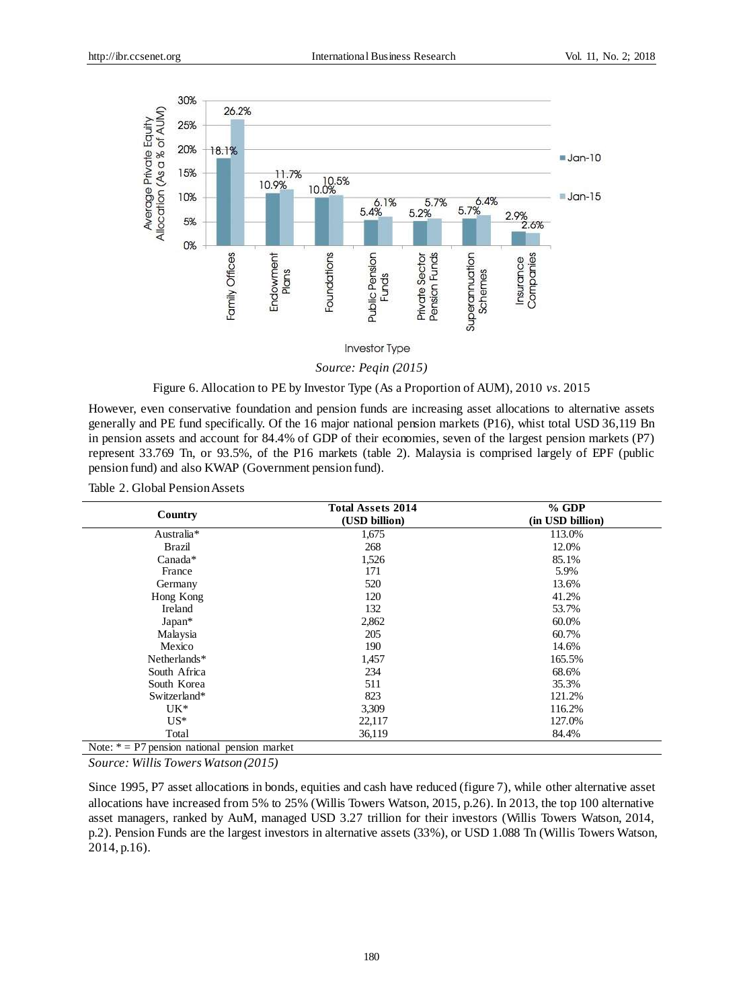

*Source: Peqin (2015)*

Figure 6. Allocation to PE by Investor Type (As a Proportion of AUM), 2010 *vs*. 2015

However, even conservative foundation and pension funds are increasing asset allocations to alternative assets generally and PE fund specifically. Of the 16 major national pension markets (P16), whist total USD 36,119 Bn in pension assets and account for 84.4% of GDP of their economies, seven of the largest pension markets (P7) represent 33.769 Tn, or 93.5%, of the P16 markets (table 2). Malaysia is comprised largely of EPF (public pension fund) and also KWAP (Government pension fund).

Table 2. Global Pension Assets

| Country                                        | <b>Total Assets 2014</b><br>(USD billion) | $%$ GDP<br>(in USD billion) |  |  |
|------------------------------------------------|-------------------------------------------|-----------------------------|--|--|
| Australia*                                     | 1,675                                     | 113.0%                      |  |  |
| Brazil                                         | 268                                       | 12.0%                       |  |  |
| Canada*                                        | 1,526                                     | 85.1%                       |  |  |
| France                                         | 171                                       | 5.9%                        |  |  |
| Germany                                        | 520                                       | 13.6%                       |  |  |
| Hong Kong                                      | 120                                       | 41.2%                       |  |  |
| Ireland                                        | 132                                       | 53.7%                       |  |  |
| Japan*                                         | 2,862                                     | 60.0%                       |  |  |
| Malaysia                                       | 205                                       | 60.7%                       |  |  |
| Mexico                                         | 190                                       | 14.6%                       |  |  |
| Netherlands*                                   | 1,457                                     | 165.5%                      |  |  |
| South Africa                                   | 234                                       | 68.6%                       |  |  |
| South Korea                                    | 511                                       | 35.3%                       |  |  |
| Switzerland*                                   | 823                                       | 121.2%                      |  |  |
| $UK*$                                          | 3,309                                     | 116.2%                      |  |  |
| $US^*$                                         | 22,117                                    | 127.0%                      |  |  |
| Total                                          | 36,119                                    | 84.4%                       |  |  |
| Note: $* = P7$ pension national pension market |                                           |                             |  |  |

*Source: Willis Towers Watson (2015)*

Since 1995, P7 asset allocations in bonds, equities and cash have reduced (figure 7), while other alternative asset allocations have increased from 5% to 25% (Willis Towers Watson, 2015, p.26). In 2013, the top 100 alternative asset managers, ranked by AuM, managed USD 3.27 trillion for their investors (Willis Towers Watson, 2014, p.2). Pension Funds are the largest investors in alternative assets (33%), or USD 1.088 Tn (Willis Towers Watson, 2014, p.16).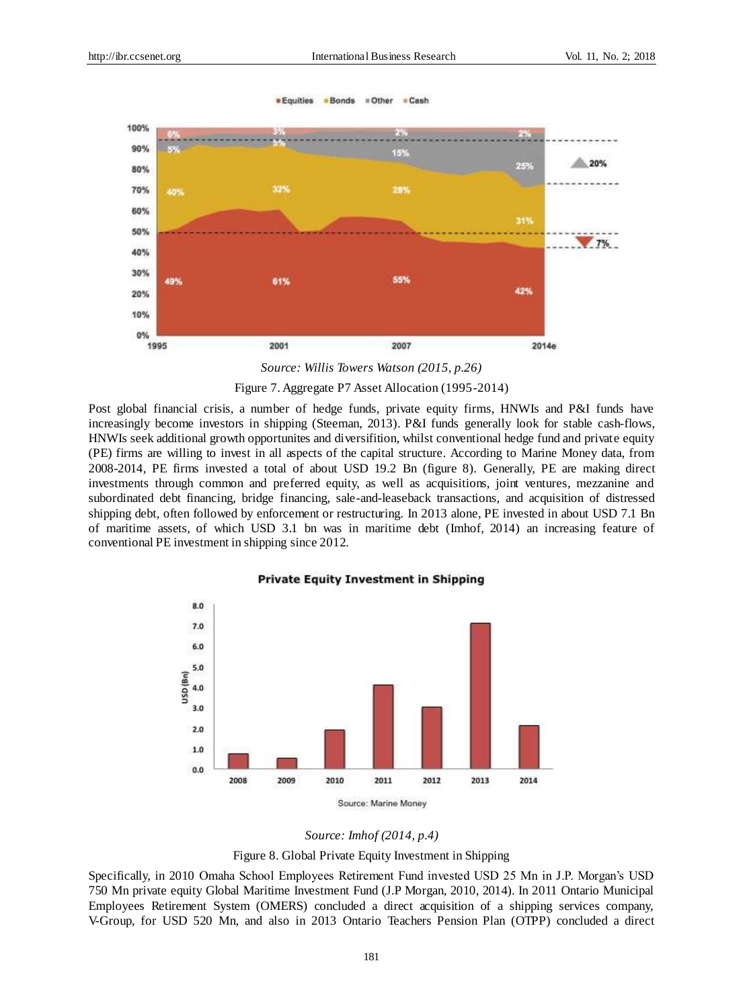= Other

**E** Cash

*<u>■ Equities</u>* 

**Bonds** 



*Source: Willis Towers Watson (2015, p.26)*

Figure 7. Aggregate P7 Asset Allocation (1995-2014)

Post global financial crisis, a number of hedge funds, private equity firms, HNWIs and P&I funds have increasingly become investors in shipping (Steeman, 2013). P&I funds generally look for stable cash-flows, HNWIs seek additional growth opportunites and diversifition, whilst conventional hedge fund and private equity (PE) firms are willing to invest in all aspects of the capital structure. According to Marine Money data, from 2008-2014, PE firms invested a total of about USD 19.2 Bn (figure 8). Generally, PE are making direct investments through common and preferred equity, as well as acquisitions, joint ventures, mezzanine and subordinated debt financing, bridge financing, sale-and-leaseback transactions, and acquisition of distressed shipping debt, often followed by enforcement or restructuring. In 2013 alone, PE invested in about USD 7.1 Bn of maritime assets, of which USD 3.1 bn was in maritime debt (Imhof, 2014) an increasing feature of conventional PE investment in shipping since 2012.

**Private Equity Investment in Shipping** 

#### 8.0 7.0 6.0 5.0 JSD (Bn) 4.0  $3.0$  $2.0$  $1.0$  $0.0$ 2008 2009 2010 2011 2012 2013 2014 Source: Marine Money

Figure 8. Global Private Equity Investment in Shipping

Specifically, in 2010 Omaha School Employees Retirement Fund invested USD 25 Mn in J.P. Morgan's USD 750 Mn private equity Global Maritime Investment Fund (J.P Morgan, 2010, 2014). In 2011 Ontario Municipal Employees Retirement System (OMERS) concluded a direct acquisition of a shipping services company, V-Group, for USD 520 Mn, and also in 2013 Ontario Teachers Pension Plan (OTPP) concluded a direct

*Source: Imhof (2014, p.4)*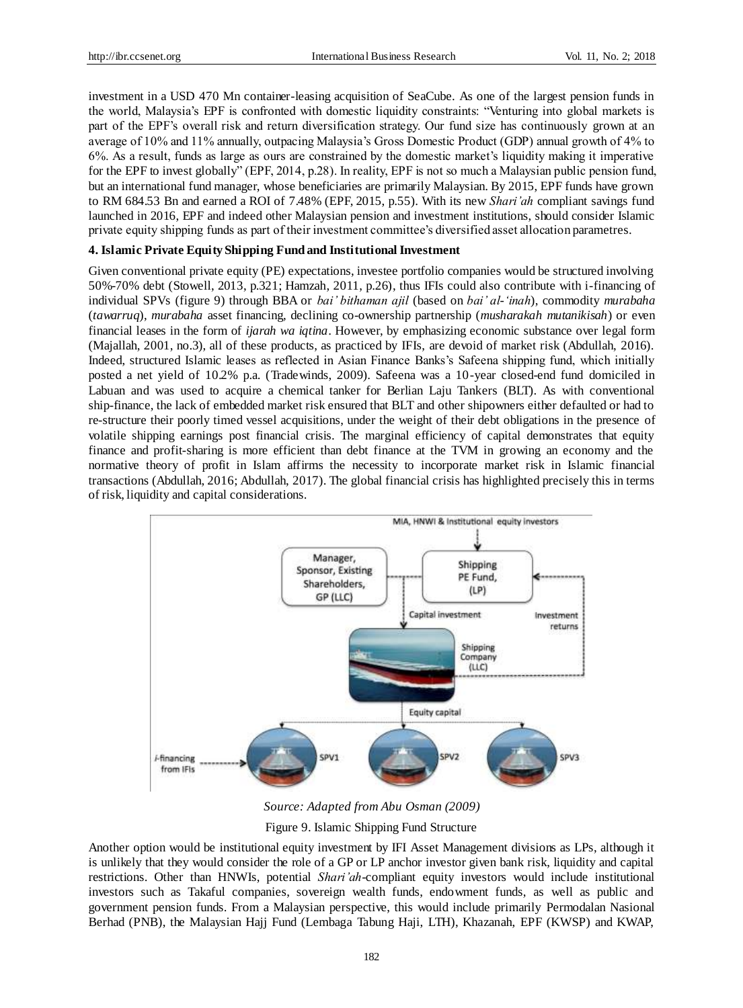investment in a USD 470 Mn container-leasing acquisition of SeaCube. As one of the largest pension funds in the world, Malaysia's EPF is confronted with domestic liquidity constraints: "Venturing into global markets is part of the EPF's overall risk and return diversification strategy. Our fund size has continuously grown at an average of 10% and 11% annually, outpacing Malaysia's Gross Domestic Product (GDP) annual growth of 4% to 6%. As a result, funds as large as ours are constrained by the domestic market's liquidity making it imperative for the EPF to invest globally" (EPF, 2014, p.28). In reality, EPF is not so much a Malaysian public pension fund, but an international fund manager, whose beneficiaries are primarily Malaysian. By 2015, EPF funds have grown to RM 684.53 Bn and earned a ROI of 7.48% (EPF, 2015, p.55). With its new *Shari'ah* compliant savings fund launched in 2016, EPF and indeed other Malaysian pension and investment institutions, should consider Islamic private equity shipping funds as part of their investment committee's diversified asset allocation parametres.

# **4. Islamic Private Equity Shipping Fund and Institutional Investment**

Given conventional private equity (PE) expectations, investee portfolio companies would be structured involving 50%-70% debt (Stowell, 2013, p.321; Hamzah, 2011, p.26), thus IFIs could also contribute with i-financing of individual SPVs (figure 9) through BBA or *bai' bithaman ajil* (based on *bai' al-'inah*), commodity *murabaha* (*tawarruq*), *murabaha* asset financing, declining co-ownership partnership (*musharakah mutanikisah*) or even financial leases in the form of *ijarah wa iqtina*. However, by emphasizing economic substance over legal form (Majallah, 2001, no.3), all of these products, as practiced by IFIs, are devoid of market risk (Abdullah, 2016). Indeed, structured Islamic leases as reflected in Asian Finance Banks's Safeena shipping fund, which initially posted a net yield of 10.2% p.a. (Tradewinds, 2009). Safeena was a 10-year closed-end fund domiciled in Labuan and was used to acquire a chemical tanker for Berlian Laju Tankers (BLT). As with conventional ship-finance, the lack of embedded market risk ensured that BLT and other shipowners either defaulted or had to re-structure their poorly timed vessel acquisitions, under the weight of their debt obligations in the presence of volatile shipping earnings post financial crisis. The marginal efficiency of capital demonstrates that equity finance and profit-sharing is more efficient than debt finance at the TVM in growing an economy and the normative theory of profit in Islam affirms the necessity to incorporate market risk in Islamic financial transactions (Abdullah, 2016; Abdullah, 2017). The global financial crisis has highlighted precisely this in terms of risk, liquidity and capital considerations.



*Source: Adapted from Abu Osman (2009)*

Figure 9. Islamic Shipping Fund Structure

Another option would be institutional equity investment by IFI Asset Management divisions as LPs, although it is unlikely that they would consider the role of a GP or LP anchor investor given bank risk, liquidity and capital restrictions. Other than HNWIs, potential *Shari'ah*-compliant equity investors would include institutional investors such as Takaful companies, sovereign wealth funds, endowment funds, as well as public and government pension funds. From a Malaysian perspective, this would include primarily Permodalan Nasional Berhad (PNB), the Malaysian Hajj Fund (Lembaga Tabung Haji, LTH), Khazanah, EPF (KWSP) and KWAP,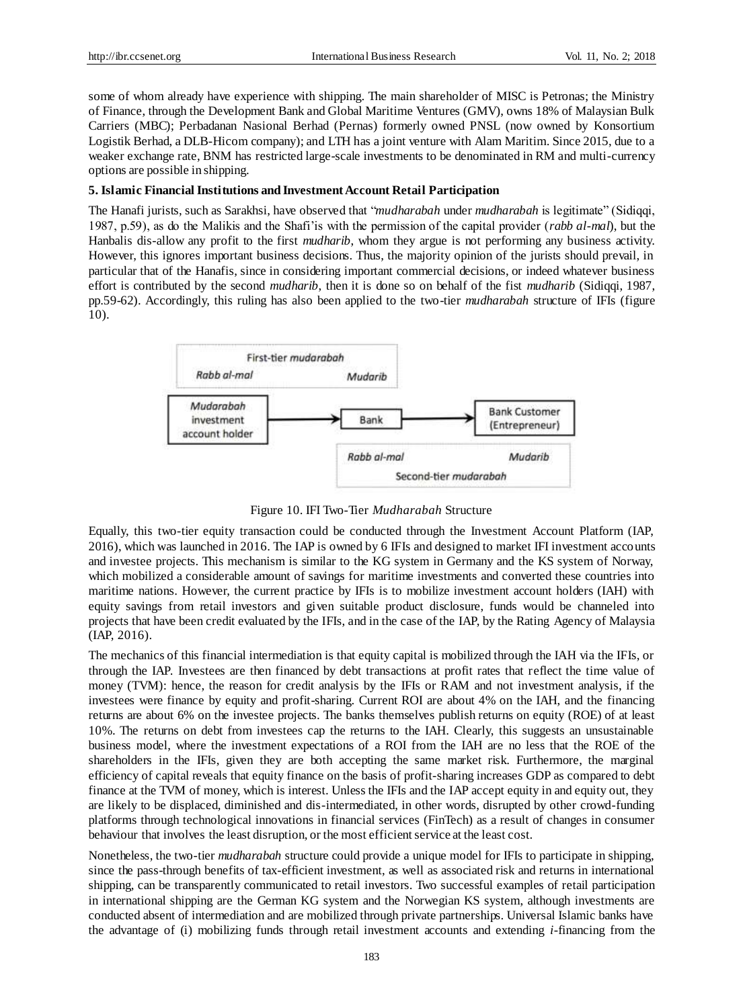some of whom already have experience with shipping. The main shareholder of MISC is Petronas; the Ministry of Finance, through the Development Bank and Global Maritime Ventures (GMV), owns 18% of Malaysian Bulk Carriers (MBC); Perbadanan Nasional Berhad (Pernas) formerly owned PNSL (now owned by Konsortium Logistik Berhad, a DLB-Hicom company); and LTH has a joint venture with Alam Maritim. Since 2015, due to a weaker exchange rate, BNM has restricted large-scale investments to be denominated in RM and multi-currency options are possible in shipping.

#### **5. Islamic Financial Institutions and Investment Account Retail Participation**

The Hanafi jurists, such as Sarakhsi, have observed that "*mudharabah* under *mudharabah* is legitimate" (Sidiqqi, 1987, p.59), as do the Malikis and the Shafi'is with the permission of the capital provider (*rabb al-mal*), but the Hanbalis dis-allow any profit to the first *mudharib*, whom they argue is not performing any business activity. However, this ignores important business decisions. Thus, the majority opinion of the jurists should prevail, in particular that of the Hanafis, since in considering important commercial decisions, or indeed whatever business effort is contributed by the second *mudharib*, then it is done so on behalf of the fist *mudharib* (Sidiqqi, 1987, pp.59-62). Accordingly, this ruling has also been applied to the two-tier *mudharabah* structure of IFIs (figure 10).



Figure 10. IFI Two-Tier *Mudharabah* Structure

Equally, this two-tier equity transaction could be conducted through the Investment Account Platform (IAP, 2016), which was launched in 2016. The IAP is owned by 6 IFIs and designed to market IFI investment accounts and investee projects. This mechanism is similar to the KG system in Germany and the KS system of Norway, which mobilized a considerable amount of savings for maritime investments and converted these countries into maritime nations. However, the current practice by IFIs is to mobilize investment account holders (IAH) with equity savings from retail investors and given suitable product disclosure, funds would be channeled into projects that have been credit evaluated by the IFIs, and in the case of the IAP, by the Rating Agency of Malaysia (IAP, 2016).

The mechanics of this financial intermediation is that equity capital is mobilized through the IAH via the IFIs, or through the IAP. Investees are then financed by debt transactions at profit rates that reflect the time value of money (TVM): hence, the reason for credit analysis by the IFIs or RAM and not investment analysis, if the investees were finance by equity and profit-sharing. Current ROI are about 4% on the IAH, and the financing returns are about 6% on the investee projects. The banks themselves publish returns on equity (ROE) of at least 10%. The returns on debt from investees cap the returns to the IAH. Clearly, this suggests an unsustainable business model, where the investment expectations of a ROI from the IAH are no less that the ROE of the shareholders in the IFIs, given they are both accepting the same market risk. Furthermore, the marginal efficiency of capital reveals that equity finance on the basis of profit-sharing increases GDP as compared to debt finance at the TVM of money, which is interest. Unless the IFIs and the IAP accept equity in and equity out, they are likely to be displaced, diminished and dis-intermediated, in other words, disrupted by other crowd-funding platforms through technological innovations in financial services (FinTech) as a result of changes in consumer behaviour that involves the least disruption, or the most efficient service at the least cost.

Nonetheless, the two-tier *mudharabah* structure could provide a unique model for IFIs to participate in shipping, since the pass-through benefits of tax-efficient investment, as well as associated risk and returns in international shipping, can be transparently communicated to retail investors. Two successful examples of retail participation in international shipping are the German KG system and the Norwegian KS system, although investments are conducted absent of intermediation and are mobilized through private partnerships. Universal Islamic banks have the advantage of (i) mobilizing funds through retail investment accounts and extending *i*-financing from the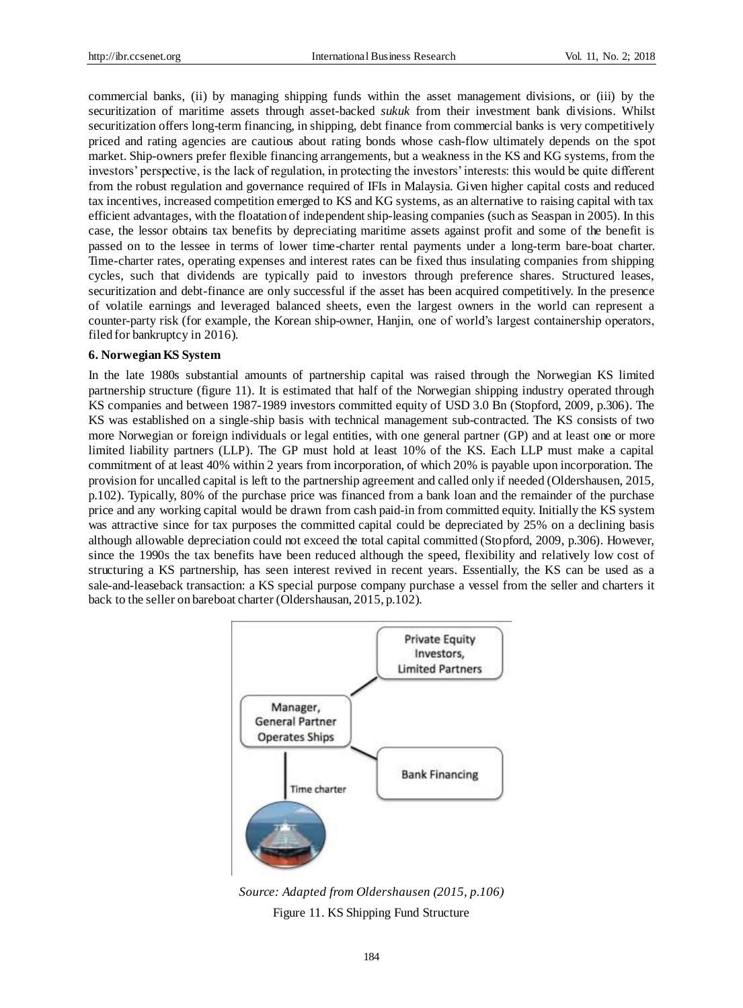commercial banks, (ii) by managing shipping funds within the asset management divisions, or (iii) by the securitization of maritime assets through asset-backed *sukuk* from their investment bank divisions. Whilst securitization offers long-term financing, in shipping, debt finance from commercial banks is very competitively priced and rating agencies are cautious about rating bonds whose cash-flow ultimately depends on the spot market. Ship-owners prefer flexible financing arrangements, but a weakness in the KS and KG systems, from the investors' perspective, is the lack of regulation, in protecting the investors' interests: this would be quite different from the robust regulation and governance required of IFIs in Malaysia. Given higher capital costs and reduced tax incentives, increased competition emerged to KS and KG systems, as an alternative to raising capital with tax efficient advantages, with the floatation of independent ship-leasing companies (such as Seaspan in 2005). In this case, the lessor obtains tax benefits by depreciating maritime assets against profit and some of the benefit is passed on to the lessee in terms of lower time-charter rental payments under a long-term bare-boat charter. Time-charter rates, operating expenses and interest rates can be fixed thus insulating companies from shipping cycles, such that dividends are typically paid to investors through preference shares. Structured leases, securitization and debt-finance are only successful if the asset has been acquired competitively. In the presence of volatile earnings and leveraged balanced sheets, even the largest owners in the world can represent a counter-party risk (for example, the Korean ship-owner, Hanjin, one of world's largest containership operators, filed for bankruptcy in 2016).

#### **6. Norwegian KS System**

In the late 1980s substantial amounts of partnership capital was raised through the Norwegian KS limited partnership structure (figure 11). It is estimated that half of the Norwegian shipping industry operated through KS companies and between 1987-1989 investors committed equity of USD 3.0 Bn (Stopford, 2009, p.306). The KS was established on a single-ship basis with technical management sub-contracted. The KS consists of two more Norwegian or foreign individuals or legal entities, with one general partner (GP) and at least one or more limited liability partners (LLP). The GP must hold at least 10% of the KS. Each LLP must make a capital commitment of at least 40% within 2 years from incorporation, of which 20% is payable upon incorporation. The provision for uncalled capital is left to the partnership agreement and called only if needed (Oldershausen, 2015, p.102). Typically, 80% of the purchase price was financed from a bank loan and the remainder of the purchase price and any working capital would be drawn from cash paid-in from committed equity. Initially the KS system was attractive since for tax purposes the committed capital could be depreciated by 25% on a declining basis although allowable depreciation could not exceed the total capital committed (Stopford, 2009, p.306). However, since the 1990s the tax benefits have been reduced although the speed, flexibility and relatively low cost of structuring a KS partnership, has seen interest revived in recent years. Essentially, the KS can be used as a sale-and-leaseback transaction: a KS special purpose company purchase a vessel from the seller and charters it back to the seller on bareboat charter (Oldershausan, 2015, p.102).



*Source: Adapted from Oldershausen (2015, p.106)* Figure 11. KS Shipping Fund Structure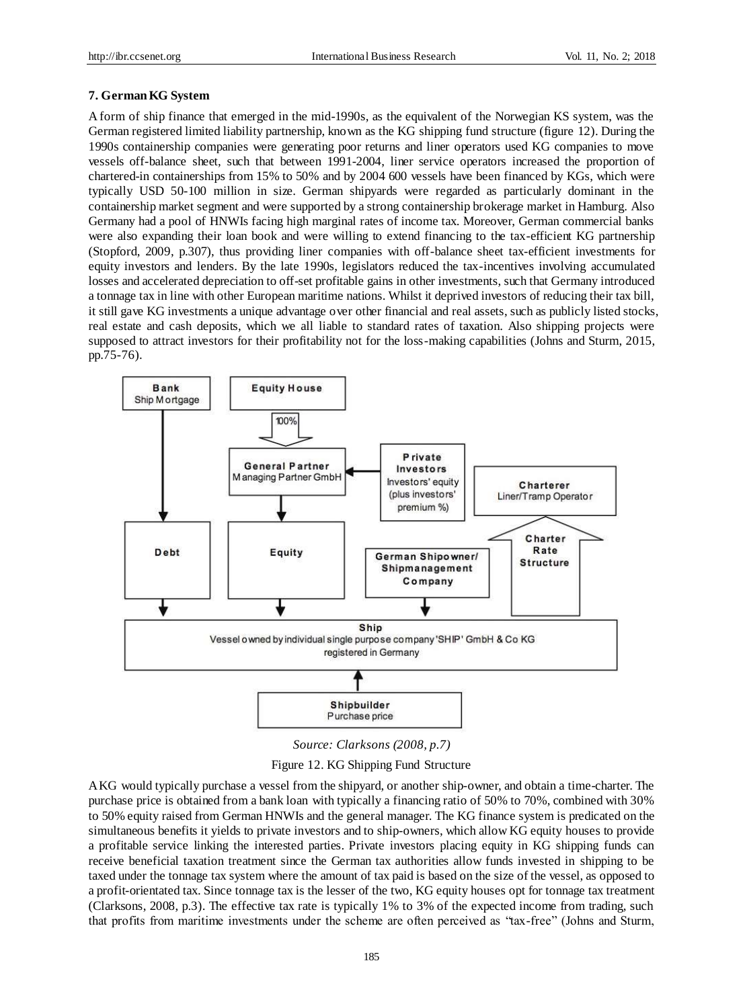#### **7. German KG System**

A form of ship finance that emerged in the mid-1990s, as the equivalent of the Norwegian KS system, was the German registered limited liability partnership, known as the KG shipping fund structure (figure 12). During the 1990s containership companies were generating poor returns and liner operators used KG companies to move vessels off-balance sheet, such that between 1991-2004, liner service operators increased the proportion of chartered-in containerships from 15% to 50% and by 2004 600 vessels have been financed by KGs, which were typically USD 50-100 million in size. German shipyards were regarded as particularly dominant in the containership market segment and were supported by a strong containership brokerage market in Hamburg. Also Germany had a pool of HNWIs facing high marginal rates of income tax. Moreover, German commercial banks were also expanding their loan book and were willing to extend financing to the tax-efficient KG partnership (Stopford, 2009, p.307), thus providing liner companies with off-balance sheet tax-efficient investments for equity investors and lenders. By the late 1990s, legislators reduced the tax-incentives involving accumulated losses and accelerated depreciation to off-set profitable gains in other investments, such that Germany introduced a tonnage tax in line with other European maritime nations. Whilst it deprived investors of reducing their tax bill, it still gave KG investments a unique advantage over other financial and real assets, such as publicly listed stocks, real estate and cash deposits, which we all liable to standard rates of taxation. Also shipping projects were supposed to attract investors for their profitability not for the loss-making capabilities (Johns and Sturm, 2015, pp.75-76).



*Source: Clarksons (2008, p.7)*

Figure 12. KG Shipping Fund Structure

A KG would typically purchase a vessel from the shipyard, or another ship-owner, and obtain a time-charter. The purchase price is obtained from a bank loan with typically a financing ratio of 50% to 70%, combined with 30% to 50% equity raised from German HNWIs and the general manager. The KG finance system is predicated on the simultaneous benefits it yields to private investors and to ship-owners, which allow KG equity houses to provide a profitable service linking the interested parties. Private investors placing equity in KG shipping funds can receive beneficial taxation treatment since the German tax authorities allow funds invested in shipping to be taxed under the tonnage tax system where the amount of tax paid is based on the size of the vessel, as opposed to a profit-orientated tax. Since tonnage tax is the lesser of the two, KG equity houses opt for tonnage tax treatment (Clarksons, 2008, p.3). The effective tax rate is typically 1% to 3% of the expected income from trading, such that profits from maritime investments under the scheme are often perceived as "tax-free" (Johns and Sturm,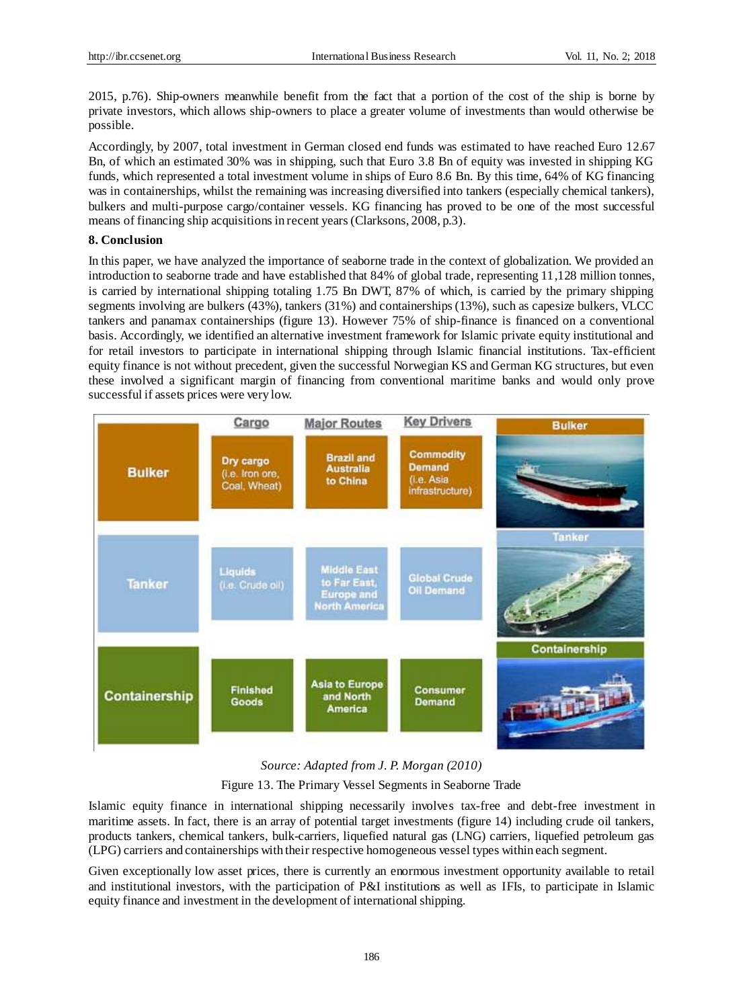2015, p.76). Ship-owners meanwhile benefit from the fact that a portion of the cost of the ship is borne by private investors, which allows ship-owners to place a greater volume of investments than would otherwise be possible.

Accordingly, by 2007, total investment in German closed end funds was estimated to have reached Euro 12.67 Bn, of which an estimated 30% was in shipping, such that Euro 3.8 Bn of equity was invested in shipping KG funds, which represented a total investment volume in ships of Euro 8.6 Bn. By this time, 64% of KG financing was in containerships, whilst the remaining was increasing diversified into tankers (especially chemical tankers), bulkers and multi-purpose cargo/container vessels. KG financing has proved to be one of the most successful means of financing ship acquisitions in recent years (Clarksons, 2008, p.3).

#### **8. Conclusion**

In this paper, we have analyzed the importance of seaborne trade in the context of globalization. We provided an introduction to seaborne trade and have established that 84% of global trade, representing 11,128 million tonnes, is carried by international shipping totaling 1.75 Bn DWT, 87% of which, is carried by the primary shipping segments involving are bulkers (43%), tankers (31%) and containerships (13%), such as capesize bulkers, VLCC tankers and panamax containerships (figure 13). However 75% of ship-finance is financed on a conventional basis. Accordingly, we identified an alternative investment framework for Islamic private equity institutional and for retail investors to participate in international shipping through Islamic financial institutions. Tax-efficient equity finance is not without precedent, given the successful Norwegian KS and German KG structures, but even these involved a significant margin of financing from conventional maritime banks and would only prove successful if assets prices were very low.



#### *Source: Adapted from J. P. Morgan (2010)*

Figure 13. The Primary Vessel Segments in Seaborne Trade

Islamic equity finance in international shipping necessarily involves tax-free and debt-free investment in maritime assets. In fact, there is an array of potential target investments (figure 14) including crude oil tankers, products tankers, chemical tankers, bulk-carriers, liquefied natural gas (LNG) carriers, liquefied petroleum gas (LPG) carriers and containerships with their respective homogeneous vessel types within each segment.

Given exceptionally low asset prices, there is currently an enormous investment opportunity available to retail and institutional investors, with the participation of P&I institutions as well as IFIs, to participate in Islamic equity finance and investment in the development of international shipping.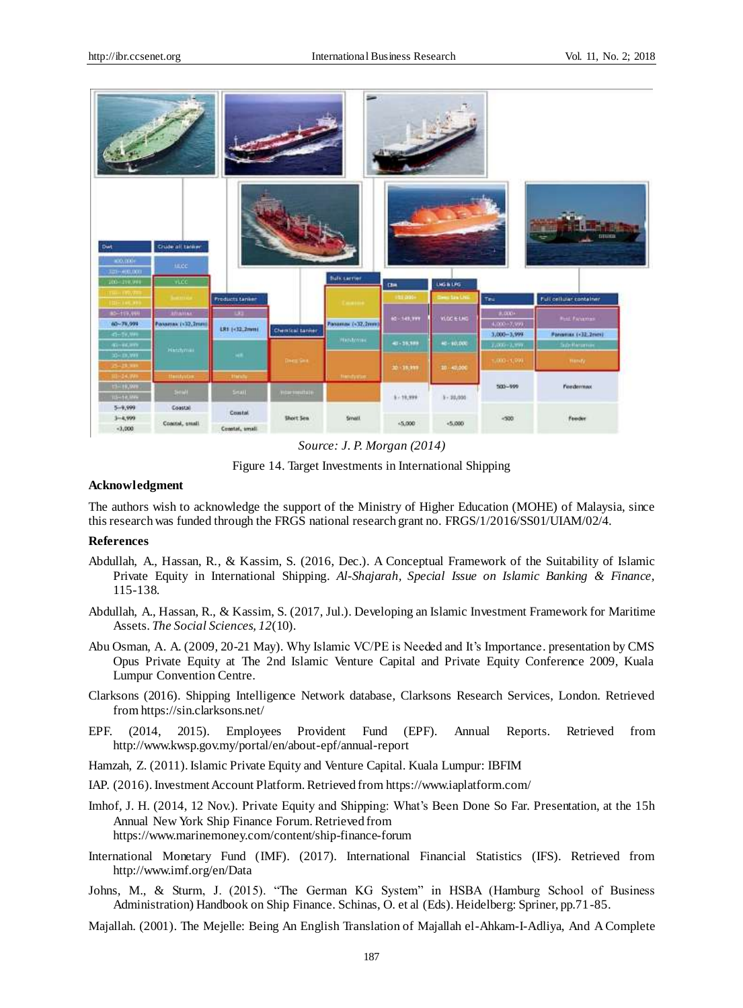| Dat<br>ació, diale<br>320+400.000<br>200-219.998 | Crude oil tanker<br>tace.<br><b>HLCC</b> |                        |                  | <b>Bulk server</b>  | the.                | <b>LNG &amp; LPG</b>   |                 | tmata                   |  |
|--------------------------------------------------|------------------------------------------|------------------------|------------------|---------------------|---------------------|------------------------|-----------------|-------------------------|--|
| <b>HEADSTRAY</b><br><b>TORONOMIA</b>             |                                          | <b>Freducts tanker</b> |                  | <b>Countries</b>    | <b>USE DOI-</b>     | <b>Clean Star Link</b> | Tex.            | Full cellular container |  |
| 80-119,998                                       | <b>Afrantas</b>                          | <b>CALL</b>            |                  |                     | 60-348,999          | VECE LHG               | 4,000-          | <b>Post Faculture</b>   |  |
| 60~79,999                                        | Possessic (+32,2mm)                      | LR1 (-32.2mm)          | Chemical tanker  | Passenas: (+32,2mm) |                     |                        | 4,000+7,999     |                         |  |
| 45-54,999                                        |                                          |                        |                  | Hinteries:          | 401-39,989          | 40-10,000              | $3,000 - 3,999$ | Panarias («32.2mm)      |  |
| 41-96399<br>30-100WH                             | Handyman                                 | <b>SHE</b>             |                  |                     |                     |                        | $2,000 - 2,759$ | Sochesme                |  |
| 25-28.000                                        |                                          |                        | <b>Decades</b>   |                     | 30 - 15,999         | 10 40,000              | 1,000+1,999     | monty                   |  |
| 30-24.99%                                        | ttentriche                               | <b>Hatut</b>           |                  | Петервие:           |                     |                        |                 |                         |  |
| <b>CHILDREN</b>                                  | 3695                                     | <b>Small</b> :         | minementate.     |                     | $8 - 18,999$<br>--- | $1 - 24,000$<br>man    | $500 - 999$     | Feedermax               |  |
| <b>TE-14 MW</b>                                  |                                          |                        |                  |                     |                     |                        |                 |                         |  |
| $5 - 9,999$                                      | Cosstal                                  | Coastal.               |                  |                     |                     |                        |                 |                         |  |
| $3 - 4,999$<br>$-3,000$                          | Control, small                           | Constat, small         | <b>Short Sen</b> | <b>Small</b>        | $+5,000$            | $+5.000$               | $-500$          | <b>Fonder</b>           |  |



Figure 14. Target Investments in International Shipping

#### **Acknowledgment**

The authors wish to acknowledge the support of the Ministry of Higher Education (MOHE) of Malaysia, since this research was funded through the FRGS national research grant no. FRGS/1/2016/SS01/UIAM/02/4.

#### **References**

- Abdullah, A., Hassan, R., & Kassim, S. (2016, Dec.). A Conceptual Framework of the Suitability of Islamic Private Equity in International Shipping. *Al-Shajarah, Special Issue on Islamic Banking & Finance,* 115-138.
- Abdullah, A., Hassan, R., & Kassim, S. (2017, Jul.). Developing an Islamic Investment Framework for Maritime Assets. *The Social Sciences, 12*(10).
- Abu Osman, A. A. (2009, 20-21 May). Why Islamic VC/PE is Needed and It's Importance. presentation by CMS Opus Private Equity at The 2nd Islamic Venture Capital and Private Equity Conference 2009, Kuala Lumpur Convention Centre.
- Clarksons (2016). Shipping Intelligence Network database, Clarksons Research Services, London. Retrieved fro[m https://sin.clarksons.net/](https://sin.clarksons.net/)
- EPF. (2014, 2015). Employees Provident Fund (EPF). Annual Reports. Retrieved from <http://www.kwsp.gov.my/portal/en/about-epf/annual-report>
- Hamzah, Z. (2011). Islamic Private Equity and Venture Capital. Kuala Lumpur: IBFIM
- IAP. (2016). Investment Account Platform. Retrieved fro[m https://www.iaplatform.com/](https://www.iaplatform.com/)
- Imhof, J. H. (2014, 12 Nov.). Private Equity and Shipping: What's Been Done So Far. Presentation, at the 15h Annual New York Ship Finance Forum. Retrieved from <https://www.marinemoney.com/content/ship-finance-forum>
- International Monetary Fund (IMF). (2017). International Financial Statistics (IFS). Retrieved from <http://www.imf.org/en/Data>
- Johns, M., & Sturm, J. (2015). "The German KG System" in HSBA (Hamburg School of Business Administration) Handbook on Ship Finance. Schinas, O. et al (Eds). Heidelberg: Spriner, pp.71-85.
- Majallah. (2001). The Mejelle: Being An English Translation of Majallah el-Ahkam-I-Adliya, And A Complete